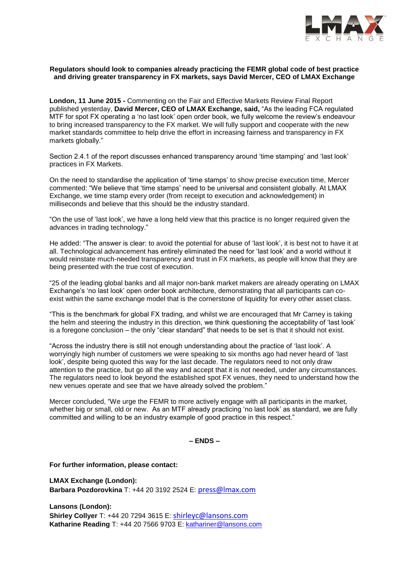

## **Regulators should look to companies already practicing the FEMR global code of best practice and driving greater transparency in FX markets, says David Mercer, CEO of LMAX Exchange**

**London, 11 June 2015 -** Commenting on the Fair and Effective Markets Review Final Report published yesterday, **David Mercer, CEO of LMAX Exchange, said,** "As the leading FCA regulated MTF for spot FX operating a 'no last look' open order book, we fully welcome the review's endeavour to bring increased transparency to the FX market. We will fully support and cooperate with the new market standards committee to help drive the effort in increasing fairness and transparency in FX markets globally."

Section 2.4.1 of the report discusses enhanced transparency around 'time stamping' and 'last look' practices in FX Markets.

On the need to standardise the application of 'time stamps' to show precise execution time, Mercer commented: "We believe that 'time stamps' need to be universal and consistent globally. At LMAX Exchange, we time stamp every order (from receipt to execution and acknowledgement) in milliseconds and believe that this should be the industry standard.

"On the use of 'last look', we have a long held view that this practice is no longer required given the advances in trading technology."

He added: "The answer is clear: to avoid the potential for abuse of 'last look', it is best not to have it at all. Technological advancement has entirely eliminated the need for 'last look' and a world without it would reinstate much-needed transparency and trust in FX markets, as people will know that they are being presented with the true cost of execution.

"25 of the leading global banks and all major non-bank market makers are already operating on LMAX Exchange's 'no last look' open order book architecture, demonstrating that all participants can coexist within the same exchange model that is the cornerstone of liquidity for every other asset class.

"This is the benchmark for global FX trading, and whilst we are encouraged that Mr Carney is taking the helm and steering the industry in this direction, we think questioning the acceptability of 'last look' is a foregone conclusion – the only "clear standard" that needs to be set is that it should not exist.

"Across the industry there is still not enough understanding about the practice of 'last look'. A worryingly high number of customers we were speaking to six months ago had never heard of 'last look', despite being quoted this way for the last decade. The regulators need to not only draw attention to the practice, but go all the way and accept that it is not needed, under any circumstances. The regulators need to look beyond the established spot FX venues, they need to understand how the new venues operate and see that we have already solved the problem."

Mercer concluded, "We urge the FEMR to more actively engage with all participants in the market, whether big or small, old or new. As an MTF already practicing 'no last look' as standard, we are fully committed and willing to be an industry example of good practice in this respect."

**– ENDS –**

**For further information, please contact:** 

**LMAX Exchange (London): Barbara Pozdorovkina** T: +44 20 3192 2524 E: press@lmax.com

**Lansons (London): Shirley Collyer** T: +44 20 7294 3615 E: shirleyc@lansons.com **Katharine Reading** T: +44 20 7566 9703 E: [kathariner@lansons.com](mailto:press@LMAX.com)